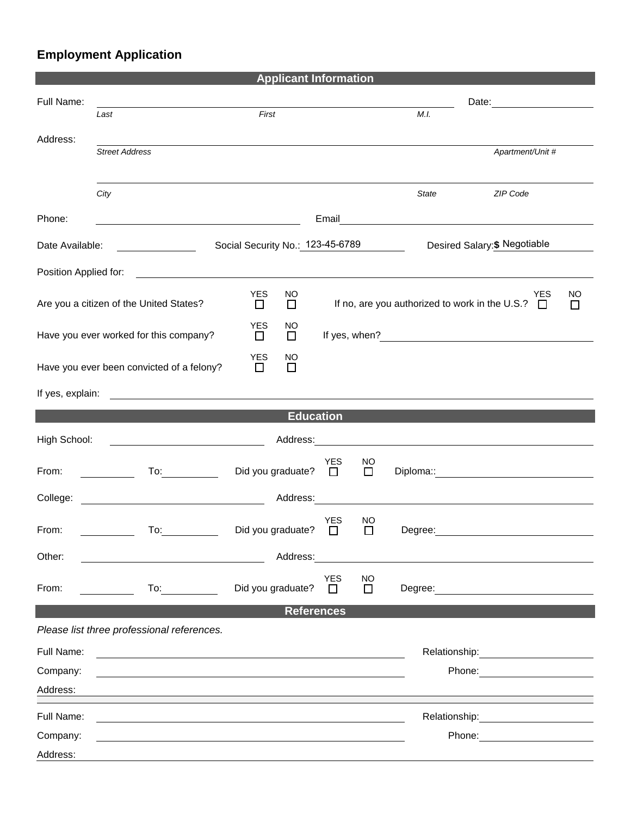## **Employment Application**

|                                                               |                                            | <b>Applicant Information</b>         |                                                                                |                                                                                                                        |                                                                                                                                                                                                                                |  |  |  |
|---------------------------------------------------------------|--------------------------------------------|--------------------------------------|--------------------------------------------------------------------------------|------------------------------------------------------------------------------------------------------------------------|--------------------------------------------------------------------------------------------------------------------------------------------------------------------------------------------------------------------------------|--|--|--|
| Full Name:                                                    |                                            |                                      |                                                                                |                                                                                                                        | Date: the contract of the contract of the contract of the contract of the contract of the contract of the contract of the contract of the contract of the contract of the contract of the contract of the contract of the cont |  |  |  |
|                                                               | Last                                       | First                                |                                                                                | M.I.                                                                                                                   |                                                                                                                                                                                                                                |  |  |  |
| Address:                                                      |                                            |                                      |                                                                                |                                                                                                                        |                                                                                                                                                                                                                                |  |  |  |
|                                                               | <b>Street Address</b>                      |                                      |                                                                                |                                                                                                                        | Apartment/Unit #                                                                                                                                                                                                               |  |  |  |
|                                                               |                                            |                                      |                                                                                |                                                                                                                        |                                                                                                                                                                                                                                |  |  |  |
|                                                               | City                                       |                                      |                                                                                | <b>State</b>                                                                                                           | ZIP Code                                                                                                                                                                                                                       |  |  |  |
| Phone:                                                        |                                            |                                      | Email                                                                          | <u> Alexandria de la construcción de la construcción de la construcción de la construcción de la construcción de l</u> |                                                                                                                                                                                                                                |  |  |  |
| Date Available:<br><u> 1990 - Johann Barbara, martin eta </u> |                                            | Social Security No.: 123-45-6789     |                                                                                |                                                                                                                        | Desired Salary: \$ Negotiable                                                                                                                                                                                                  |  |  |  |
| Position Applied for:                                         |                                            |                                      |                                                                                |                                                                                                                        |                                                                                                                                                                                                                                |  |  |  |
|                                                               |                                            | <b>YES</b><br>NO<br>$\Box$<br>□      | <b>YES</b><br>NO<br>If no, are you authorized to work in the U.S.? $\Box$<br>□ |                                                                                                                        |                                                                                                                                                                                                                                |  |  |  |
| Are you a citizen of the United States?                       |                                            |                                      |                                                                                |                                                                                                                        |                                                                                                                                                                                                                                |  |  |  |
| Have you ever worked for this company?                        |                                            | <b>YES</b><br>NO<br>$\Box$<br>$\Box$ |                                                                                |                                                                                                                        |                                                                                                                                                                                                                                |  |  |  |
| Have you ever been convicted of a felony?                     |                                            | <b>YES</b><br>NO<br>$\Box$<br>$\Box$ |                                                                                |                                                                                                                        |                                                                                                                                                                                                                                |  |  |  |
| If yes, explain:                                              |                                            |                                      |                                                                                |                                                                                                                        |                                                                                                                                                                                                                                |  |  |  |
|                                                               |                                            | <b>Education</b>                     |                                                                                |                                                                                                                        |                                                                                                                                                                                                                                |  |  |  |
|                                                               |                                            |                                      |                                                                                |                                                                                                                        |                                                                                                                                                                                                                                |  |  |  |
| High School:                                                  |                                            |                                      |                                                                                |                                                                                                                        |                                                                                                                                                                                                                                |  |  |  |
| From:                                                         | $\overline{a}$                             | Did you graduate?                    | <b>YES</b><br>NO<br>$\Box$<br>$\Box$                                           |                                                                                                                        | Diploma:: Web and the contract of the contract of the contract of the contract of the contract of the contract of the contract of the contract of the contract of the contract of the contract of the contract of the contract |  |  |  |
| College:                                                      |                                            | Address:                             |                                                                                |                                                                                                                        |                                                                                                                                                                                                                                |  |  |  |
| From:                                                         | To:                                        | Did you graduate?                    | <b>YES</b><br>NO<br>$\Box$<br>$\Box$                                           | Degree:                                                                                                                |                                                                                                                                                                                                                                |  |  |  |
| Other:                                                        |                                            | Address:                             |                                                                                |                                                                                                                        |                                                                                                                                                                                                                                |  |  |  |
| From:                                                         |                                            | Did you graduate?                    | <b>YES</b><br><b>NO</b><br>$\Box$                                              |                                                                                                                        |                                                                                                                                                                                                                                |  |  |  |
|                                                               | $\overline{10}$ :                          |                                      | □                                                                              |                                                                                                                        | Degree: the contract of the contract of the contract of the contract of the contract of the contract of the contract of the contract of the contract of the contract of the contract of the contract of the contract of the co |  |  |  |
|                                                               | Please list three professional references. | <b>References</b>                    |                                                                                |                                                                                                                        |                                                                                                                                                                                                                                |  |  |  |
|                                                               |                                            |                                      |                                                                                |                                                                                                                        |                                                                                                                                                                                                                                |  |  |  |
| Full Name:                                                    |                                            |                                      |                                                                                |                                                                                                                        | Relationship: 2000                                                                                                                                                                                                             |  |  |  |
| Company:<br>Address:                                          |                                            |                                      |                                                                                |                                                                                                                        | Phone: <u>_______________</u>                                                                                                                                                                                                  |  |  |  |
|                                                               |                                            |                                      |                                                                                |                                                                                                                        |                                                                                                                                                                                                                                |  |  |  |
| Full Name:                                                    |                                            |                                      |                                                                                |                                                                                                                        | Relationship: example and all the set of the set of the set of the set of the set of the set of the set of the                                                                                                                 |  |  |  |
| Company:                                                      |                                            |                                      |                                                                                |                                                                                                                        |                                                                                                                                                                                                                                |  |  |  |
| Address:                                                      |                                            |                                      |                                                                                |                                                                                                                        |                                                                                                                                                                                                                                |  |  |  |